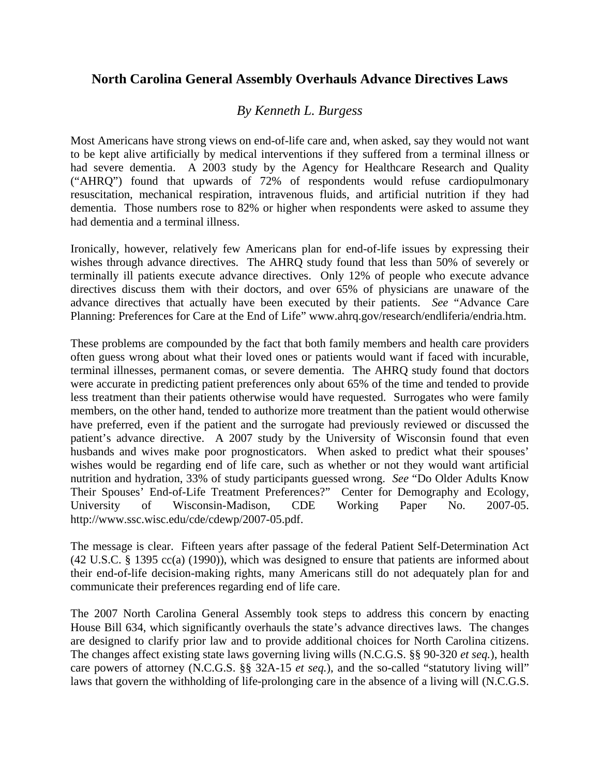## **North Carolina General Assembly Overhauls Advance Directives Laws**

## *By Kenneth L. Burgess*

Most Americans have strong views on end-of-life care and, when asked, say they would not want to be kept alive artificially by medical interventions if they suffered from a terminal illness or had severe dementia. A 2003 study by the Agency for Healthcare Research and Quality ("AHRQ") found that upwards of 72% of respondents would refuse cardiopulmonary resuscitation, mechanical respiration, intravenous fluids, and artificial nutrition if they had dementia. Those numbers rose to 82% or higher when respondents were asked to assume they had dementia and a terminal illness.

Ironically, however, relatively few Americans plan for end-of-life issues by expressing their wishes through advance directives. The AHRQ study found that less than 50% of severely or terminally ill patients execute advance directives. Only 12% of people who execute advance directives discuss them with their doctors, and over 65% of physicians are unaware of the advance directives that actually have been executed by their patients. *See* "Advance Care Planning: Preferences for Care at the End of Life" www.ahrq.gov/research/endliferia/endria.htm.

These problems are compounded by the fact that both family members and health care providers often guess wrong about what their loved ones or patients would want if faced with incurable, terminal illnesses, permanent comas, or severe dementia. The AHRQ study found that doctors were accurate in predicting patient preferences only about 65% of the time and tended to provide less treatment than their patients otherwise would have requested. Surrogates who were family members, on the other hand, tended to authorize more treatment than the patient would otherwise have preferred, even if the patient and the surrogate had previously reviewed or discussed the patient's advance directive. A 2007 study by the University of Wisconsin found that even husbands and wives make poor prognosticators. When asked to predict what their spouses' wishes would be regarding end of life care, such as whether or not they would want artificial nutrition and hydration, 33% of study participants guessed wrong. *See* "Do Older Adults Know Their Spouses' End-of-Life Treatment Preferences?"Center for Demography and Ecology, University of Wisconsin-Madison, CDE Working Paper No. 2007-05. http://www.ssc.wisc.edu/cde/cdewp/2007-05.pdf.

The message is clear. Fifteen years after passage of the federal Patient Self-Determination Act (42 U.S.C. § 1395 cc(a) (1990)), which was designed to ensure that patients are informed about their end-of-life decision-making rights, many Americans still do not adequately plan for and communicate their preferences regarding end of life care.

The 2007 North Carolina General Assembly took steps to address this concern by enacting House Bill 634, which significantly overhauls the state's advance directives laws. The changes are designed to clarify prior law and to provide additional choices for North Carolina citizens. The changes affect existing state laws governing living wills (N.C.G.S. §§ 90-320 *et seq.*), health care powers of attorney (N.C.G.S. §§ 32A-15 *et seq.*), and the so-called "statutory living will" laws that govern the withholding of life-prolonging care in the absence of a living will (N.C.G.S.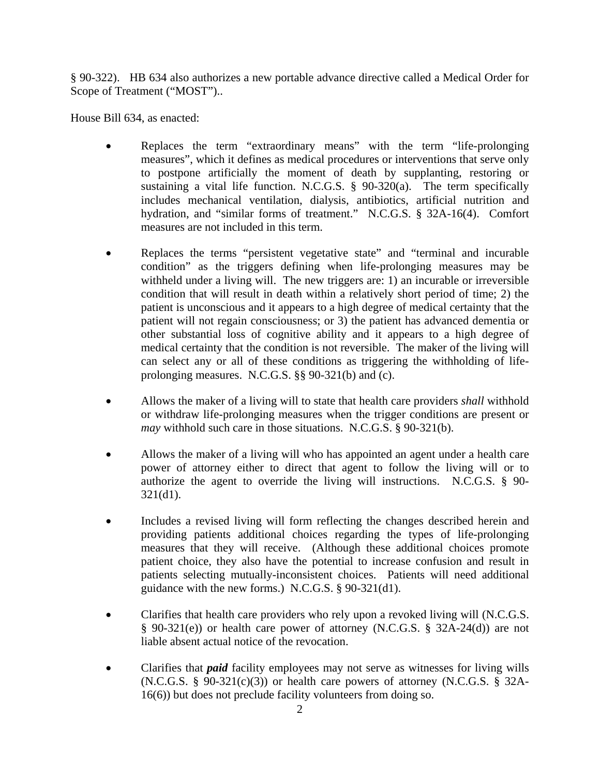§ 90-322). HB 634 also authorizes a new portable advance directive called a Medical Order for Scope of Treatment ("MOST")..

House Bill 634, as enacted:

- Replaces the term "extraordinary means" with the term "life-prolonging measures", which it defines as medical procedures or interventions that serve only to postpone artificially the moment of death by supplanting, restoring or sustaining a vital life function. N.C.G.S.  $\S$  90-320(a). The term specifically includes mechanical ventilation, dialysis, antibiotics, artificial nutrition and hydration, and "similar forms of treatment." N.C.G.S. § 32A-16(4). Comfort measures are not included in this term.
- Replaces the terms "persistent vegetative state" and "terminal and incurable condition" as the triggers defining when life-prolonging measures may be withheld under a living will. The new triggers are: 1) an incurable or irreversible condition that will result in death within a relatively short period of time; 2) the patient is unconscious and it appears to a high degree of medical certainty that the patient will not regain consciousness; or 3) the patient has advanced dementia or other substantial loss of cognitive ability and it appears to a high degree of medical certainty that the condition is not reversible. The maker of the living will can select any or all of these conditions as triggering the withholding of lifeprolonging measures. N.C.G.S. §§ 90-321(b) and (c).
- Allows the maker of a living will to state that health care providers *shall* withhold or withdraw life-prolonging measures when the trigger conditions are present or *may* withhold such care in those situations. N.C.G.S. § 90-321(b).
- Allows the maker of a living will who has appointed an agent under a health care power of attorney either to direct that agent to follow the living will or to authorize the agent to override the living will instructions. N.C.G.S. § 90-  $321(d1)$ .
- Includes a revised living will form reflecting the changes described herein and providing patients additional choices regarding the types of life-prolonging measures that they will receive. (Although these additional choices promote patient choice, they also have the potential to increase confusion and result in patients selecting mutually-inconsistent choices. Patients will need additional guidance with the new forms.) N.C.G.S. § 90-321(d1).
- Clarifies that health care providers who rely upon a revoked living will (N.C.G.S. § 90-321(e)) or health care power of attorney (N.C.G.S. § 32A-24(d)) are not liable absent actual notice of the revocation.
- Clarifies that *paid* facility employees may not serve as witnesses for living wills  $(N.C.G.S. § 90-321(c)(3))$  or health care powers of attorney  $(N.C.G.S. § 32A-$ 16(6)) but does not preclude facility volunteers from doing so.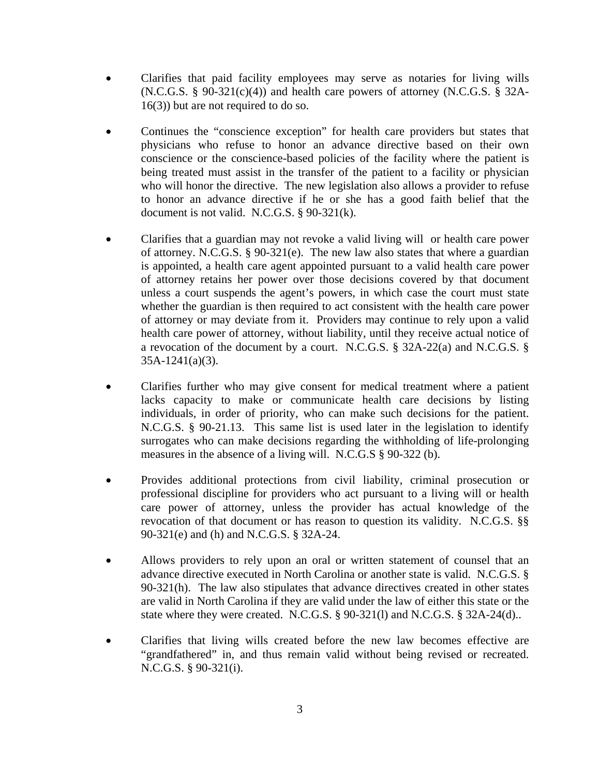- Clarifies that paid facility employees may serve as notaries for living wills  $(N.C.G.S. § 90-321(c)(4))$  and health care powers of attorney  $(N.C.G.S. § 32A-$ 16(3)) but are not required to do so.
- Continues the "conscience exception" for health care providers but states that physicians who refuse to honor an advance directive based on their own conscience or the conscience-based policies of the facility where the patient is being treated must assist in the transfer of the patient to a facility or physician who will honor the directive. The new legislation also allows a provider to refuse to honor an advance directive if he or she has a good faith belief that the document is not valid. N.C.G.S. § 90-321(k).
- Clarifies that a guardian may not revoke a valid living will or health care power of attorney. N.C.G.S. § 90-321(e). The new law also states that where a guardian is appointed, a health care agent appointed pursuant to a valid health care power of attorney retains her power over those decisions covered by that document unless a court suspends the agent's powers, in which case the court must state whether the guardian is then required to act consistent with the health care power of attorney or may deviate from it. Providers may continue to rely upon a valid health care power of attorney, without liability, until they receive actual notice of a revocation of the document by a court. N.C.G.S. § 32A-22(a) and N.C.G.S. § 35A-1241(a)(3).
- Clarifies further who may give consent for medical treatment where a patient lacks capacity to make or communicate health care decisions by listing individuals, in order of priority, who can make such decisions for the patient. N.C.G.S. § 90-21.13. This same list is used later in the legislation to identify surrogates who can make decisions regarding the withholding of life-prolonging measures in the absence of a living will. N.C.G.S § 90-322 (b).
- Provides additional protections from civil liability, criminal prosecution or professional discipline for providers who act pursuant to a living will or health care power of attorney, unless the provider has actual knowledge of the revocation of that document or has reason to question its validity. N.C.G.S. §§ 90-321(e) and (h) and N.C.G.S. § 32A-24.
- Allows providers to rely upon an oral or written statement of counsel that an advance directive executed in North Carolina or another state is valid. N.C.G.S. § 90-321(h). The law also stipulates that advance directives created in other states are valid in North Carolina if they are valid under the law of either this state or the state where they were created. N.C.G.S. § 90-321(l) and N.C.G.S. § 32A-24(d)..
- Clarifies that living wills created before the new law becomes effective are "grandfathered" in, and thus remain valid without being revised or recreated. N.C.G.S. § 90-321(i).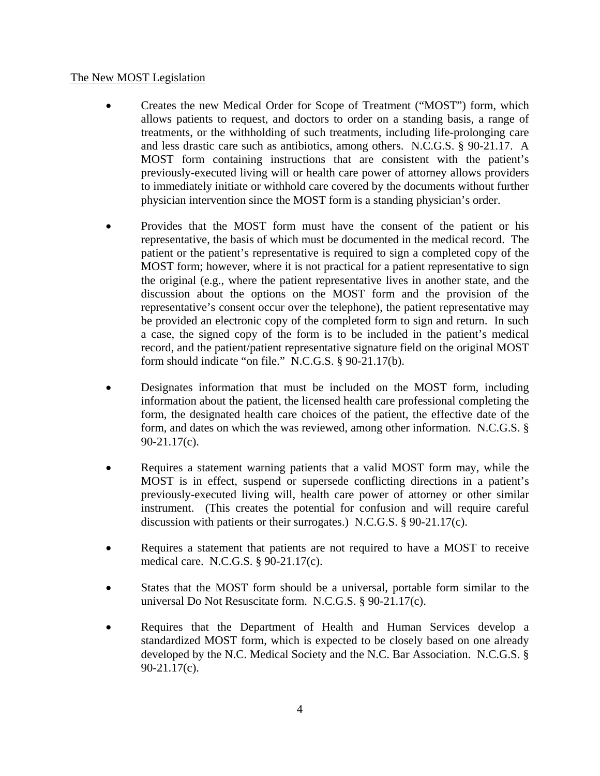## The New MOST Legislation

- Creates the new Medical Order for Scope of Treatment ("MOST") form, which allows patients to request, and doctors to order on a standing basis, a range of treatments, or the withholding of such treatments, including life-prolonging care and less drastic care such as antibiotics, among others. N.C.G.S. § 90-21.17. A MOST form containing instructions that are consistent with the patient's previously-executed living will or health care power of attorney allows providers to immediately initiate or withhold care covered by the documents without further physician intervention since the MOST form is a standing physician's order.
- Provides that the MOST form must have the consent of the patient or his representative, the basis of which must be documented in the medical record. The patient or the patient's representative is required to sign a completed copy of the MOST form; however, where it is not practical for a patient representative to sign the original (e.g., where the patient representative lives in another state, and the discussion about the options on the MOST form and the provision of the representative's consent occur over the telephone), the patient representative may be provided an electronic copy of the completed form to sign and return. In such a case, the signed copy of the form is to be included in the patient's medical record, and the patient/patient representative signature field on the original MOST form should indicate "on file." N.C.G.S. § 90-21.17(b).
- Designates information that must be included on the MOST form, including information about the patient, the licensed health care professional completing the form, the designated health care choices of the patient, the effective date of the form, and dates on which the was reviewed, among other information. N.C.G.S. § 90-21.17(c).
- Requires a statement warning patients that a valid MOST form may, while the MOST is in effect, suspend or supersede conflicting directions in a patient's previously-executed living will, health care power of attorney or other similar instrument. (This creates the potential for confusion and will require careful discussion with patients or their surrogates.) N.C.G.S. § 90-21.17(c).
- Requires a statement that patients are not required to have a MOST to receive medical care. N.C.G.S. § 90-21.17(c).
- States that the MOST form should be a universal, portable form similar to the universal Do Not Resuscitate form. N.C.G.S. § 90-21.17(c).
- Requires that the Department of Health and Human Services develop a standardized MOST form, which is expected to be closely based on one already developed by the N.C. Medical Society and the N.C. Bar Association. N.C.G.S. § 90-21.17(c).